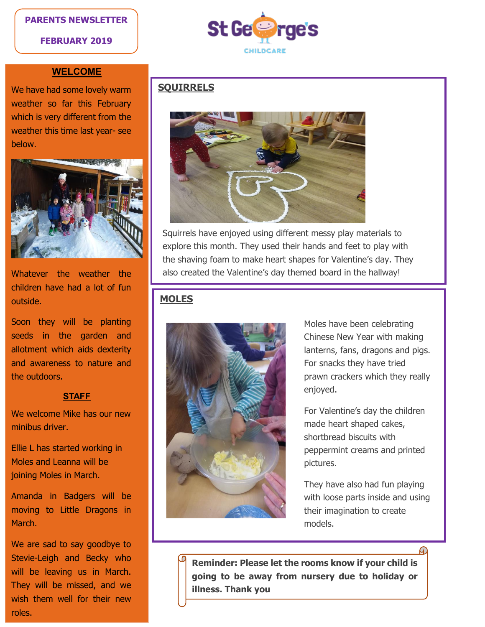## **PARENTS NEWSLETTER**

**FEBRUARY 2019**



## **WELCOME**

We have had some lovely warm weather so far this February which is very different from the weather this time last year- see below.



Whatever the weather the children have had a lot of fun outside.

Soon they will be planting seeds in the garden and allotment which aids dexterity and awareness to nature and the outdoors.

#### **STAFF**

We welcome Mike has our new minibus driver.

Ellie L has started working in Moles and Leanna will be joining Moles in March.

Amanda in Badgers will be moving to Little Dragons in March.

We are sad to say goodbye to Stevie-Leigh and Becky who will be leaving us in March. They will be missed, and we wish them well for their new roles.

# **SQUIRRELS**



Squirrels have enjoyed using different messy play materials to explore this month. They used their hands and feet to play with the shaving foam to make heart shapes for Valentine's day. They also created the Valentine's day themed board in the hallway!

# **MOLES**



Moles have been celebrating Chinese New Year with making lanterns, fans, dragons and pigs. For snacks they have tried prawn crackers which they really enjoyed.

For Valentine's day the children made heart shaped cakes, shortbread biscuits with peppermint creams and printed pictures.

They have also had fun playing with loose parts inside and using their imagination to create models.

**Reminder: Please let the rooms know if your child is going to be away from nursery due to holiday or illness. Thank you**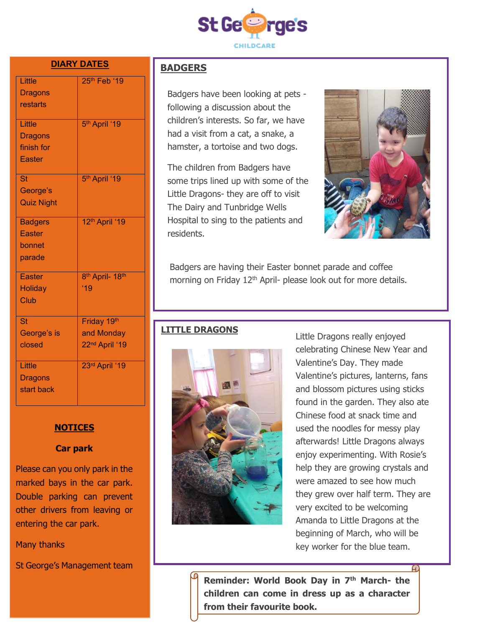

#### **DIARY DATES**

| Little<br><b>Dragons</b><br>restarts                | 25th Feb '19                                            |
|-----------------------------------------------------|---------------------------------------------------------|
| Little<br><b>Dragons</b><br>finish for<br>Easter    | 5 <sup>th</sup> April '19                               |
| <b>St</b><br>George's<br><b>Quiz Night</b>          | 5 <sup>th</sup> April '19                               |
| <b>Badgers</b><br><b>Easter</b><br>bonnet<br>parade | 12th April '19                                          |
| <b>Easter</b><br><b>Holiday</b><br>Club             | 8 <sup>th</sup> April- 18 <sup>th</sup><br>19           |
| <b>St</b><br>George's is<br>closed                  | Friday 19th<br>and Monday<br>22 <sup>nd</sup> April '19 |
| Little<br><b>Dragons</b><br>start back              | 23rd April '19                                          |

# **BADGERS**

Badgers have been looking at pets following a discussion about the children's interests. So far, we have had a visit from a cat, a snake, a hamster, a tortoise and two dogs.

The children from Badgers have some trips lined up with some of the Little Dragons- they are off to visit The Dairy and Tunbridge Wells Hospital to sing to the patients and residents.



Badgers are having their Easter bonnet parade and coffee morning on Friday 12<sup>th</sup> April- please look out for more details.

# **LITTLE DRAGONS**



Little Dragons really enjoyed celebrating Chinese New Year and Valentine's Day. They made Valentine's pictures, lanterns, fans and blossom pictures using sticks found in the garden. They also ate Chinese food at snack time and used the noodles for messy play afterwards! Little Dragons always enjoy experimenting. With Rosie's help they are growing crystals and were amazed to see how much they grew over half term. They are very excited to be welcoming Amanda to Little Dragons at the beginning of March, who will be key worker for the blue team.

**Reminder: World Book Day in 7th March- the children can come in dress up as a character from their favourite book.**

**NOTICES**

#### **Car park**

Please can you only park in the marked bays in the car park. Double parking can prevent other drivers from leaving or entering the car park.

Many thanks

St George's Management team